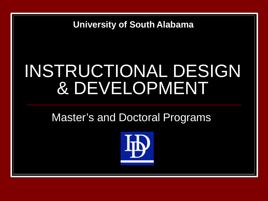**University of South Alabama**

## INSTRUCTIONAL DESIGN & DEVELOPMENT

#### Master's and Doctoral Programs

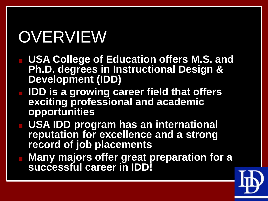# **OVERVIEW**

- **USA College of Education offers M.S. and Ph.D. degrees in Instructional Design & Development (IDD)**
- **IDD is a growing career field that offers exciting professional and academic opportunities**
- **USA IDD program has an international reputation for excellence and a strong record of job placements**
	- **Many majors offer great preparation for a successful career in IDD!**

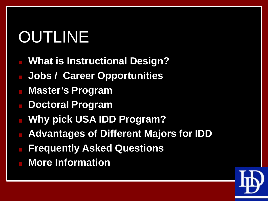# OUTLINE

- **What is Instructional Design?**
- **Jobs / Career Opportunities**
- **Master's Program**
- **Doctoral Program**
- **Why pick USA IDD Program?**
- **Advantages of Different Majors for IDD**
- **Frequently Asked Questions**
- **More Information**

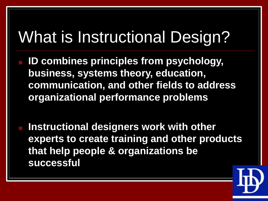## What is Instructional Design?

- **ID combines principles from psychology, business, systems theory, education, communication, and other fields to address organizational performance problems**
- **Instructional designers work with other experts to create training and other products that help people & organizations be successful**

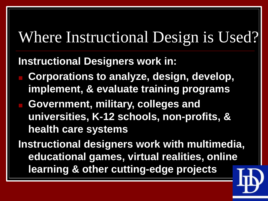## Where Instructional Design is Used?

#### **Instructional Designers work in:**

- **Corporations to analyze, design, develop, implement, & evaluate training programs**
- **Government, military, colleges and universities, K-12 schools, non-profits, & health care systems**

**Instructional designers work with multimedia, educational games, virtual realities, online learning & other cutting-edge projects**

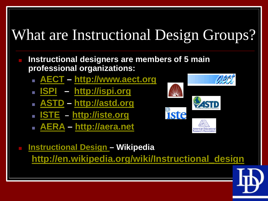## What are Instructional Design Groups?

- **Instructional designers are members of 5 main professional organizations:**
	- **[AECT](http://www.aect.org/) – [http://www.aect.org](http://www.aect.org/)**
	- **[ISPI](http://ispi.org/) – [http://ispi.org](http://ispi.org/)**
	- **[ASTD](http://astd.org/) – [http://astd.org](http://astd.org/)**
	- **[ISTE](http://iste.org/) – [http://iste.org](http://iste.org/)**
	- **[AERA](http://aera.net/) – [http://aera.net](http://aera.net/)**

**PASTD Iste** 

■ **[Instructional Design](http://en.wikipedia.org/wiki/Instructional_design) – Wikipedia [http://en.wikipedia.org/wiki/Instructional\\_design](http://en.wikipedia.org/wiki/Instructional_design)**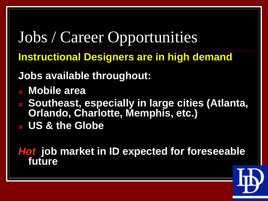Jobs / Career Opportunities **Instructional Designers are in high demand Jobs available throughout:** ■ **Mobile area Boutheast, especially in large cities (Atlanta, Orlando, Charlotte, Memphis, etc.)** ■ **US & the Globe**

*Hot* **job market in ID expected for foreseeable future**

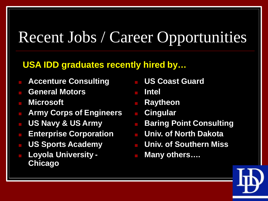## Recent Jobs / Career Opportunities

#### **USA IDD graduates recently hired by…**

- **Accenture Consulting**
- **General Motors**
- **Microsoft**
- **Army Corps of Engineers Cingular**
- **US Navy & US Army**
- **Enterprise Corporation Univ. of North Dakota**
- **US Sports Academy**
- **Loyola University - Chicago**
- **US Coast Guard**
- **Intel**
- **Raytheon**
- 
- **Baring Point Consulting**
	-
	- **Univ. of Southern Miss**
- **Many others….**

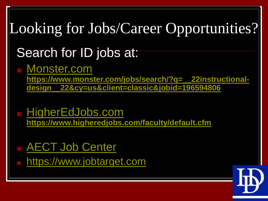# Looking for Jobs/Career Opportunities?

#### Search for ID jobs at:

■ [Monster.com](https://www.monster.com/jobs/search/?q=__22instructional-design__22&cy=us&client=classic&jobid=196594806)

**[https://www.monster.com/jobs/search/?q=\\_\\_22instructional](https://www.monster.com/jobs/search/?q=__22instructional-design__22&cy=us&client=classic&jobid=196594806)design\_\_22&cy=us&client=classic&jobid=196594806**

■ [HigherEdJobs.com](https://www.higheredjobs.com/faculty/default.cfm) **<https://www.higheredjobs.com/faculty/default.cfm>**

■ [AECT Job](http://www.jobtarget.com/c/search_results.cfm?site_id=136) Center

■ [https://www.jobtarget.com](https://www.jobtarget.com/)

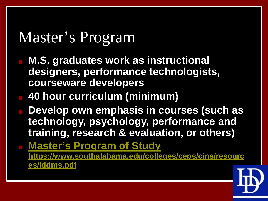## Master's Program

- **M.S. graduates work as instructional designers, performance technologists, courseware developers**
	- **40 hour curriculum (minimum)**
- **Develop own emphasis in courses (such as technology, psychology, performance and training, research & evaluation, or others)**
- **[Master's Program of Study](https://www.southalabama.edu/colleges/ceps/cins/resources/iddms.pdf) https://www.southalabama.edu/colleges/ceps/cins/resourc es/iddms.pdf**

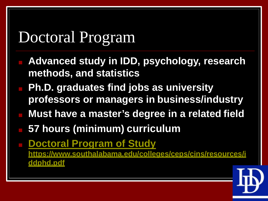## Doctoral Program

- **Advanced study in IDD, psychology, research methods, and statistics**
- **Ph.D. graduates find jobs as university professors or managers in business/industry**
- **Must have a master's degree in a related field**
- **57 hours (minimum) curriculum**
- **[Doctoral Program of](https://www.southalabama.edu/colleges/ceps/cins/resources/iddphd.pdf) Study https://www.southalabama.edu/colleges/ceps/cins/resources/i ddphd.pdf**

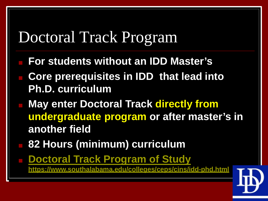### Doctoral Track Program

- **For students without an IDD Master's**
- **Core prerequisites in IDD that lead into Ph.D. curriculum**
- **May enter Doctoral Track directly from undergraduate program or after master's in another field**
- 82 Hours (minimum) curriculum
	- **[Doctoral Track Program of](https://www.southalabama.edu/colleges/ceps/cins/idd-phd.html) Study https://www.southalabama.edu/colleges/ceps/cins/idd-phd.html**

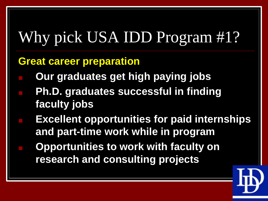## Why pick USA IDD Program #1?

#### **Great career preparation**

- **Our graduates get high paying jobs**
- **Ph.D. graduates successful in finding faculty jobs**
	- **Excellent opportunities for paid internships and part-time work while in program**
		- **Opportunities to work with faculty on research and consulting projects**

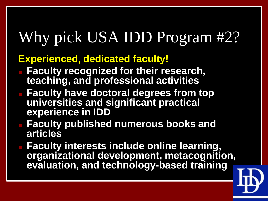## Why pick USA IDD Program #2?

#### **Experienced, dedicated faculty!**

- **Faculty recognized for their research, teaching, and professional activities**
- **Faculty have doctoral degrees from top universities and significant practical experience in IDD**
- **Faculty published numerous books and articles**
- **Faculty interests include online learning, organizational development, metacognition, evaluation, and technology-based training**

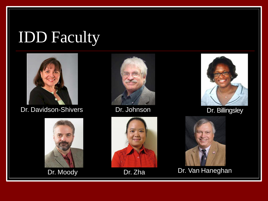## IDD Faculty



Dr. Davidson-Shivers Dr. Johnson Dr. Davidson-Shivers











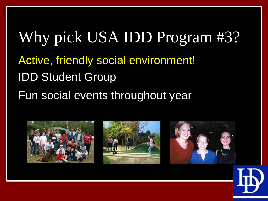## Why pick USA IDD Program #3?

- Active, friendly social environment! IDD Student Group
- Fun social events throughout year



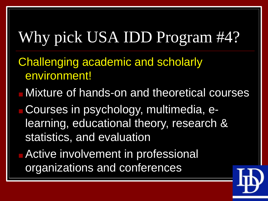## Why pick USA IDD Program #4?

- Challenging academic and scholarly environment!
- Mixture of hands-on and theoretical courses
- Courses in psychology, multimedia, elearning, educational theory, research & statistics, and evaluation
- **Active involvement in professional** organizations and conferences

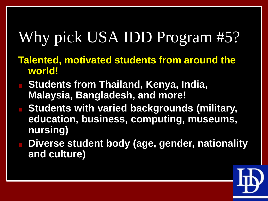## Why pick USA IDD Program #5?

- **Talented, motivated students from around the world!**
- Students from Thailand, Kenya, India, **Malaysia, Bangladesh, and more!**
- **Students with varied backgrounds (military, education, business, computing, museums, nursing)**
- Diverse student body (age, gender, nationality **and culture)**

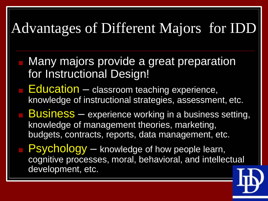#### Advantages of Different Majors for IDD

- Many majors provide a great preparation for Instructional Design!
- **Education** classroom teaching experience, knowledge of instructional strategies, assessment, etc.
- **Business** experience working in a business setting, knowledge of management theories, marketing, budgets, contracts, reports, data management, etc.
- Psychology knowledge of how people learn, cognitive processes, moral, behavioral, and intellectual development, etc.

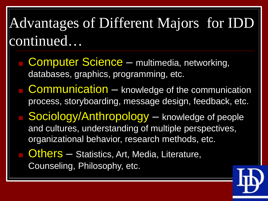### Advantages of Different Majors for IDD continued…

- **Computer Science multimedia, networking,** databases, graphics, programming, etc.
- Communication knowledge of the communication process, storyboarding, message design, feedback, etc.
- Sociology/Anthropology knowledge of people and cultures, understanding of multiple perspectives, organizational behavior, research methods, etc.
- Others Statistics, Art, Media, Literature, Counseling, Philosophy, etc.

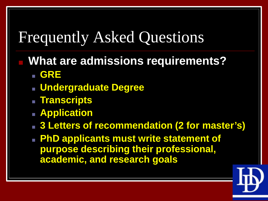### Frequently Asked Questions

- **What are admissions requirements?** ■ **GRE**
	- **Undergraduate Degree**
	- **Transcripts**
	- **Application**
	- **3 Letters of recommendation (2 for master's)**
	- **PhD applicants must write statement of purpose describing their professional, academic, and research goals**

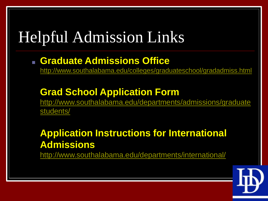## Helpful Admission Links

#### ■ **Graduate Admissions Office**

<http://www.southalabama.edu/colleges/graduateschool/gradadmiss.html>

#### **Grad School Application Form**

[http://www.southalabama.edu/departments/admissions/graduate](http://www.southalabama.edu/departments/admissions/graduatestudents/) students/

#### **Application Instructions for International Admissions**

<http://www.southalabama.edu/departments/international/>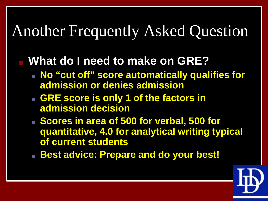### Another Frequently Asked Question

#### **What do I need to make on GRE?**

- **No "cut off" score automatically qualifies for admission or denies admission**
- **BRE score is only 1 of the factors in admission decision**
- **B** Scores in area of 500 for verbal, 500 for **quantitative, 4.0 for analytical writing typical of current students**
- **Best advice: Prepare and do your best!**

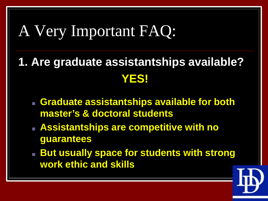## A Very Important FAQ:

- **1. Are graduate assistantships available? YES!**
	- **Graduate assistantships available for both master's & doctoral students**
	- **Assistantships are competitive with no guarantees**
	- **But usually space for students with strong work ethic and skills**

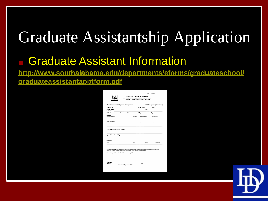## Graduate Assistantship Application

#### **Graduate Assistant Information**

**http://www.southalabama.edu/departments/eforms/graduateschool/ graduateassistantapptform.pdf**

| Name: MrtMe                            |                                                                                                                                                                                                                                | US CHECH: 300 H 80 (please citria one)<br>This section is to be completed by student. Please type or putat.<br>Phone: (Roma) [Work] |                |                     |
|----------------------------------------|--------------------------------------------------------------------------------------------------------------------------------------------------------------------------------------------------------------------------------|-------------------------------------------------------------------------------------------------------------------------------------|----------------|---------------------|
|                                        | Carnet Address _________________________________<br>Similard R. Security Admitted: No. 2014                                                                                                                                    | <b>SSI: STATISTICS</b>                                                                                                              |                |                     |
|                                        |                                                                                                                                                                                                                                |                                                                                                                                     |                |                     |
|                                        |                                                                                                                                                                                                                                |                                                                                                                                     |                |                     |
| <b>Iklassien:</b><br>Collage Chirecoty |                                                                                                                                                                                                                                | Location                                                                                                                            | Daton Attended | <b>Degraphizion</b> |
| Werk Experience:<br><b>Einspielver</b> |                                                                                                                                                                                                                                | Locali eta                                                                                                                          | Date:          | Perition            |
|                                        |                                                                                                                                                                                                                                |                                                                                                                                     |                |                     |
| <b>Вибитивове</b>                      |                                                                                                                                                                                                                                |                                                                                                                                     |                |                     |
| Norw.                                  |                                                                                                                                                                                                                                | Title                                                                                                                               | Address        | Talophone           |
|                                        | If is the negotiality of the student to contact the listed tolerances and arrange to have letters of technicalities sent to the<br>Department Chair by the departmental application dend inc. (Readlines very with department) |                                                                                                                                     |                |                     |

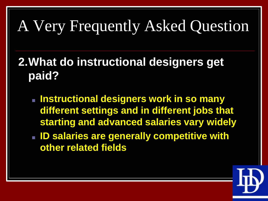## A Very Frequently Asked Question

#### **2.What do instructional designers get paid?**

- **Instructional designers work in so many different settings and in different jobs that starting and advanced salaries vary widely**
- **ID salaries are generally competitive with other related fields**

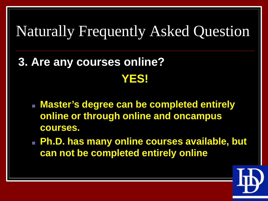#### Naturally Frequently Asked Question

- **3. Are any courses online? YES!**
	- **Master's degree can be completed entirely online or through online and oncampus courses.**
	- **Ph.D. has many online courses available, but can not be completed entirely online**

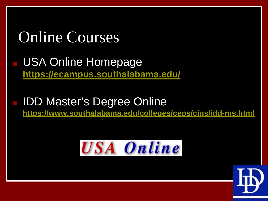# Online Courses USA Online Homepage **<https://ecampus.southalabama.edu/> IDD Master's Degree Online https://www.southalabama.edu/colleges/ceps/cins/idd-ms.html**



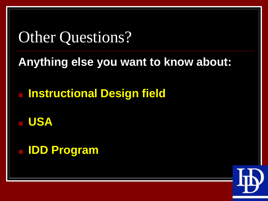### Other Questions?

#### **Anything else you want to know about:**

■ **Instructional Design field**

■ **USA**

■ **IDD Program**

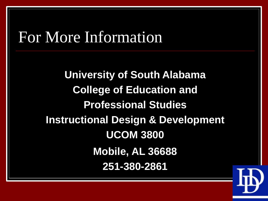#### For More Information

**University of South Alabama College of Education and Professional Studies Instructional Design & Development UCOM 3800 Mobile, AL 36688 251-380-2861**

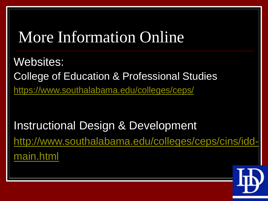### More Information Online

Websites: College of Education & Professional Studies [https://www.southalabama.edu/colleges/ceps/](https://www.southalabama.edu/colleges/ceps)

Instructional Design & Development [http://www.southalabama.edu/colleges/ceps/cins/idd](http://www.southalabama.edu/colleges/ceps/cins/idd-main.html)main.html